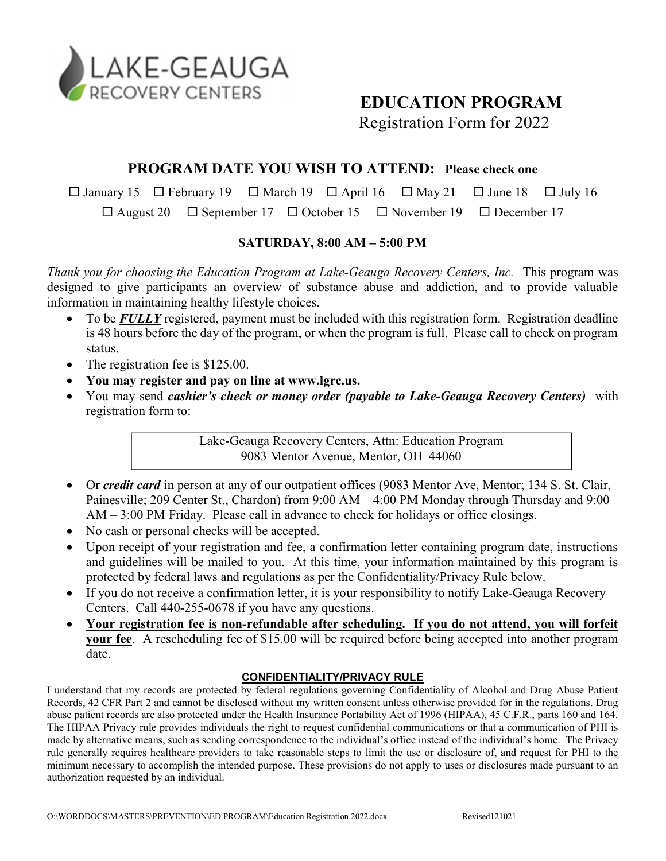

# EDUCATION PROGRAM

Registration Form for 2022

## PROGRAM DATE YOU WISH TO ATTEND: Please check one

 $\Box$  January 15  $\Box$  February 19  $\Box$  March 19  $\Box$  April 16  $\Box$  May 21  $\Box$  June 18  $\Box$  July 16

 $\Box$  August 20  $\Box$  September 17  $\Box$  October 15  $\Box$  November 19  $\Box$  December 17

### SATURDAY, 8:00 AM – 5:00 PM

Thank you for choosing the Education Program at Lake-Geauga Recovery Centers, Inc. This program was designed to give participants an overview of substance abuse and addiction, and to provide valuable information in maintaining healthy lifestyle choices.

- To be **FULLY** registered, payment must be included with this registration form. Registration deadline is 48 hours before the day of the program, or when the program is full. Please call to check on program status.
- The registration fee is \$125.00.
- You may register and pay on line at www.lgrc.us.
- You may send cashier's check or money order (payable to Lake-Geauga Recovery Centers) with registration form to:

Lake-Geauga Recovery Centers, Attn: Education Program 9083 Mentor Avenue, Mentor, OH 44060

- Or *credit card* in person at any of our outpatient offices (9083 Mentor Ave, Mentor; 134 S. St. Clair, Painesville; 209 Center St., Chardon) from 9:00 AM – 4:00 PM Monday through Thursday and 9:00 AM – 3:00 PM Friday. Please call in advance to check for holidays or office closings.
- No cash or personal checks will be accepted.
- Upon receipt of your registration and fee, a confirmation letter containing program date, instructions and guidelines will be mailed to you. At this time, your information maintained by this program is protected by federal laws and regulations as per the Confidentiality/Privacy Rule below.
- If you do not receive a confirmation letter, it is your responsibility to notify Lake-Geauga Recovery Centers. Call 440-255-0678 if you have any questions.
- Your registration fee is non-refundable after scheduling. If you do not attend, you will forfeit your fee. A rescheduling fee of \$15.00 will be required before being accepted into another program date.

#### CONFIDENTIALITY/PRIVACY RULE

I understand that my records are protected by federal regulations governing Confidentiality of Alcohol and Drug Abuse Patient Records, 42 CFR Part 2 and cannot be disclosed without my written consent unless otherwise provided for in the regulations. Drug abuse patient records are also protected under the Health Insurance Portability Act of 1996 (HIPAA), 45 C.F.R., parts 160 and 164. The HIPAA Privacy rule provides individuals the right to request confidential communications or that a communication of PHI is made by alternative means, such as sending correspondence to the individual's office instead of the individual's home. The Privacy rule generally requires healthcare providers to take reasonable steps to limit the use or disclosure of, and request for PHI to the minimum necessary to accomplish the intended purpose. These provisions do not apply to uses or disclosures made pursuant to an authorization requested by an individual.